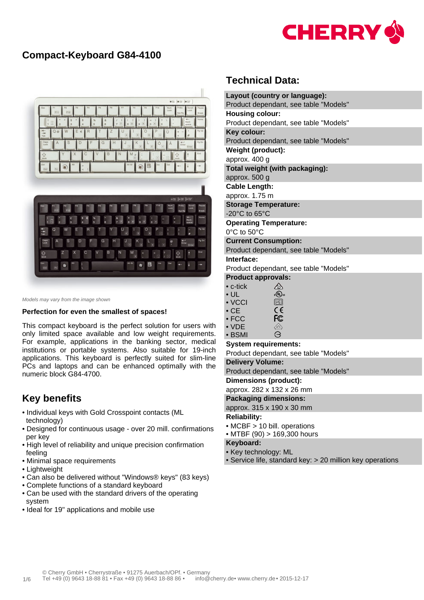

# **Compact-Keyboard G84-4100**



Models may vary from the image shown

#### **Perfection for even the smallest of spaces!**

This compact keyboard is the perfect solution for users with only limited space available and low weight requirements. For example, applications in the banking sector, medical institutions or portable systems. Also suitable for 19-inch applications. This keyboard is perfectly suited for slim-line PCs and laptops and can be enhanced optimally with the numeric block G84-4700.

## **Key benefits**

- Individual keys with Gold Crosspoint contacts (ML technology)
- Designed for continuous usage over 20 mill. confirmations per key
- High level of reliability and unique precision confirmation feeling
- Minimal space requirements
- Lightweight
- Can also be delivered without "Windows® keys" (83 keys)
- Complete functions of a standard keyboard
- Can be used with the standard drivers of the operating system
- Ideal for 19" applications and mobile use

# **Technical Data:**

| Layout (country or language):                |  |  |  |  |  |  |  |  |  |
|----------------------------------------------|--|--|--|--|--|--|--|--|--|
| Product dependant, see table "Models"        |  |  |  |  |  |  |  |  |  |
| <b>Housing colour:</b>                       |  |  |  |  |  |  |  |  |  |
| Product dependant, see table "Models"        |  |  |  |  |  |  |  |  |  |
| Key colour:                                  |  |  |  |  |  |  |  |  |  |
| Product dependant, see table "Models"        |  |  |  |  |  |  |  |  |  |
| Weight (product):                            |  |  |  |  |  |  |  |  |  |
| approx. 400 g                                |  |  |  |  |  |  |  |  |  |
| Total weight (with packaging):               |  |  |  |  |  |  |  |  |  |
| approx. 500 g                                |  |  |  |  |  |  |  |  |  |
| <b>Cable Length:</b>                         |  |  |  |  |  |  |  |  |  |
| approx. 1.75 m                               |  |  |  |  |  |  |  |  |  |
| <b>Storage Temperature:</b>                  |  |  |  |  |  |  |  |  |  |
| -20°C to 65°C                                |  |  |  |  |  |  |  |  |  |
| <b>Operating Temperature:</b>                |  |  |  |  |  |  |  |  |  |
| 0°C to 50°C                                  |  |  |  |  |  |  |  |  |  |
| <b>Current Consumption:</b>                  |  |  |  |  |  |  |  |  |  |
| Product dependant, see table "Models"        |  |  |  |  |  |  |  |  |  |
| Interface:                                   |  |  |  |  |  |  |  |  |  |
| Product dependant, see table "Models"        |  |  |  |  |  |  |  |  |  |
| <b>Product approvals:</b>                    |  |  |  |  |  |  |  |  |  |
| <br>$\bullet$ c-tick                         |  |  |  |  |  |  |  |  |  |
| $\epsilon$ (Up) us<br>$\cdot$ UL             |  |  |  |  |  |  |  |  |  |
| $\boxed{\text{V}\text{C}}$<br>$\bullet$ VCCI |  |  |  |  |  |  |  |  |  |
| $\epsilon$<br>$\bullet$ CE.                  |  |  |  |  |  |  |  |  |  |
| <b>FC</b><br>$\bullet$ FCC                   |  |  |  |  |  |  |  |  |  |

• VDE  $\overline{\mathbb{C}}$  $\Theta$ • BSMI

#### **System requirements:**

Product dependant, see table "Models"

#### **Delivery Volume:**

Product dependant, see table "Models"

**Dimensions (product):**

approx. 282 x 132 x 26 mm

#### **Packaging dimensions:**

approx. 315 x 190 x 30 mm

#### **Reliability:**

- MCBF > 10 bill. operations
- MTBF (90) > 169,300 hours

### **Keyboard:**

- Key technology: ML
- Service life, standard key: > 20 million key operations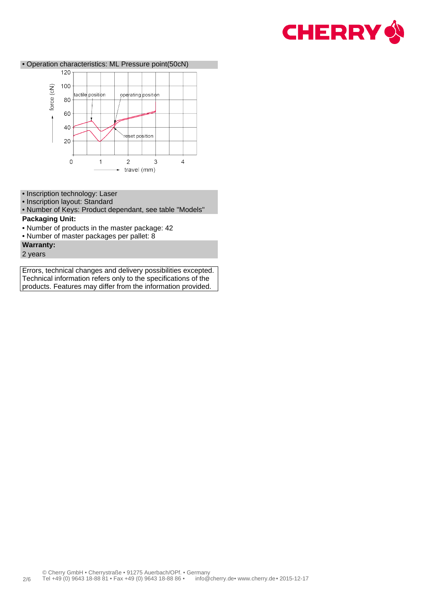



- Inscription technology: Laser
- Inscription layout: Standard

• Number of Keys: Product dependant, see table "Models"

### **Packaging Unit:**

- Number of products in the master package: 42
- Number of master packages per pallet: 8
- **Warranty:**
- 2 years

Errors, technical changes and delivery possibilities excepted. Technical information refers only to the specifications of the products. Features may differ from the information provided.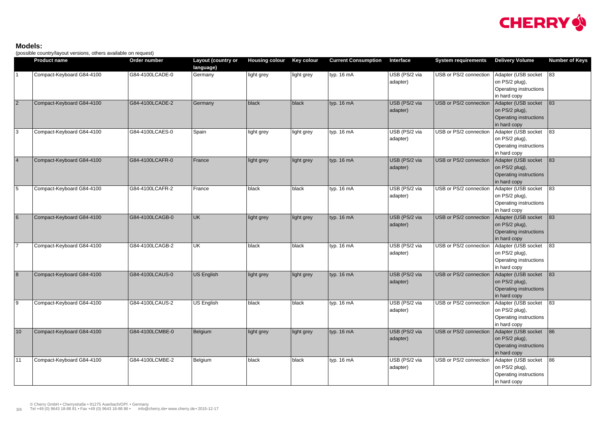### **Models:**

(possible country/layout versions, others available on request)

|                 | <b>Product name</b>       | Order number    | Layout (country or<br>language) | Housing colour Key colour |            | <b>Current Consumption</b> | Interface                 | <b>System requirements</b> | <b>Delivery Volume</b>                                                               | <b>Number of Keys</b> |
|-----------------|---------------------------|-----------------|---------------------------------|---------------------------|------------|----------------------------|---------------------------|----------------------------|--------------------------------------------------------------------------------------|-----------------------|
|                 | Compact-Keyboard G84-4100 | G84-4100LCADE-0 | Germany                         | light grey                | light grey | typ. 16 mA                 | USB (PS/2 via<br>adapter) | USB or PS/2 connection     | Adapter (USB socket 83<br>on PS/2 plug),<br>Operating instructions<br>in hard copy   |                       |
| $\overline{2}$  | Compact-Keyboard G84-4100 | G84-4100LCADE-2 | Germany                         | black                     | black      | typ. 16 mA                 | USB (PS/2 via<br>adapter) | USB or PS/2 connection     | Adapter (USB socket<br>on PS/2 plug),<br>Operating instructions<br>in hard copy      | 83                    |
| $ 3\rangle$     | Compact-Keyboard G84-4100 | G84-4100LCAES-0 | Spain                           | light grey                | light grey | typ. 16 mA                 | USB (PS/2 via<br>adapter) | USB or PS/2 connection     | Adapter (USB socket<br>on PS/2 plug),<br>Operating instructions<br>in hard copy      | 83                    |
| $\vert 4 \vert$ | Compact-Keyboard G84-4100 | G84-4100LCAFR-0 | France                          | light grey                | light grey | typ. 16 mA                 | USB (PS/2 via<br>adapter) | USB or PS/2 connection     | Adapter (USB socket<br>on PS/2 plug),<br>Operating instructions<br>in hard copy      | 83                    |
| $\overline{5}$  | Compact-Keyboard G84-4100 | G84-4100LCAFR-2 | France                          | black                     | black      | typ. 16 mA                 | USB (PS/2 via<br>adapter) | USB or PS/2 connection     | Adapter (USB socket<br>on PS/2 plug),<br>Operating instructions<br>in hard copy      | 83                    |
| $6\overline{6}$ | Compact-Keyboard G84-4100 | G84-4100LCAGB-0 | UK.                             | light grey                | light grey | typ. 16 mA                 | USB (PS/2 via<br>adapter) | USB or PS/2 connection     | Adapter (USB socket<br>on PS/2 plug),<br>Operating instructions<br>in hard copy      | 83                    |
| $\overline{7}$  | Compact-Keyboard G84-4100 | G84-4100LCAGB-2 | UK                              | black                     | black      | typ. 16 mA                 | USB (PS/2 via<br>adapter) | USB or PS/2 connection     | Adapter (USB socket<br>on PS/2 plug),<br>Operating instructions<br>in hard copy      | $ 83\rangle$          |
| $\boxed{8}$     | Compact-Keyboard G84-4100 | G84-4100LCAUS-0 | <b>US English</b>               | light grey                | light grey | typ. 16 mA                 | USB (PS/2 via<br>adapter) | USB or PS/2 connection     | Adapter (USB socket<br>on PS/2 plug),<br>Operating instructions<br>in hard copy      | 83                    |
| 9               | Compact-Keyboard G84-4100 | G84-4100LCAUS-2 | <b>US English</b>               | black                     | black      | typ. 16 mA                 | USB (PS/2 via<br>adapter) | USB or PS/2 connection     | Adapter (USB socket   83<br>on PS/2 plug),<br>Operating instructions<br>in hard copy |                       |
| 10              | Compact-Keyboard G84-4100 | G84-4100LCMBE-0 | Belgium                         | light grey                | light grey | typ. 16 mA                 | USB (PS/2 via<br>adapter) | USB or PS/2 connection     | Adapter (USB socket   86<br>on PS/2 plug),<br>Operating instructions<br>in hard copy |                       |
| 11              | Compact-Keyboard G84-4100 | G84-4100LCMBE-2 | Belgium                         | black                     | black      | typ. 16 mA                 | USB (PS/2 via<br>adapter) | USB or PS/2 connection     | Adapter (USB socket 86<br>on PS/2 plug),<br>Operating instructions<br>in hard copy   |                       |

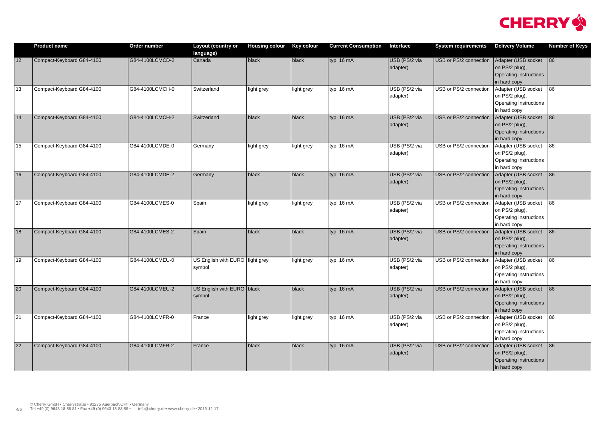|                 | <b>Product name</b>       | Order number    | <b>Layout (country or</b><br>language)    | <b>Housing colour</b> | <b>Key colour</b> | <b>Current Consumption</b> | Interface                 | <b>System requirements</b> | <b>Delivery Volume</b>                                                               | <b>Number of Keys</b> |
|-----------------|---------------------------|-----------------|-------------------------------------------|-----------------------|-------------------|----------------------------|---------------------------|----------------------------|--------------------------------------------------------------------------------------|-----------------------|
| 12              | Compact-Keyboard G84-4100 | G84-4100LCMCD-2 | Canada                                    | black                 | $ $ black         | typ. 16 mA                 | USB (PS/2 via<br>adapter) | USB or PS/2 connection     | Adapter (USB socket 86<br>on PS/2 plug),<br>Operating instructions<br>in hard copy   |                       |
| 13              | Compact-Keyboard G84-4100 | G84-4100LCMCH-0 | Switzerland                               | light grey            | light grey        | typ. 16 mA                 | USB (PS/2 via<br>adapter) | USB or PS/2 connection     | Adapter (USB socket<br>on PS/2 plug),<br>Operating instructions<br>in hard copy      | 86                    |
| 14              | Compact-Keyboard G84-4100 | G84-4100LCMCH-2 | Switzerland                               | black                 | black             | typ. 16 mA                 | USB (PS/2 via<br>adapter) | USB or PS/2 connection     | Adapter (USB socket<br>on PS/2 plug),<br>Operating instructions<br>in hard copy      | 86                    |
| 15              | Compact-Keyboard G84-4100 | G84-4100LCMDE-0 | Germany                                   | light grey            | light grey        | typ. 16 mA                 | USB (PS/2 via<br>adapter) | USB or PS/2 connection     | Adapter (USB socket<br>on PS/2 plug),<br>Operating instructions<br>in hard copy      | 86                    |
| 16              | Compact-Keyboard G84-4100 | G84-4100LCMDE-2 | Germany                                   | black                 | $ $ black         | typ. 16 mA                 | USB (PS/2 via<br>adapter) | USB or PS/2 connection     | Adapter (USB socket<br>on PS/2 plug),<br>Operating instructions<br>in hard copy      | 86                    |
| 17              | Compact-Keyboard G84-4100 | G84-4100LCMES-0 | Spain                                     | light grey            | light grey        | typ. 16 mA                 | USB (PS/2 via<br>adapter) | USB or PS/2 connection     | Adapter (USB socket<br>on PS/2 plug),<br>Operating instructions<br>in hard copy      | 86                    |
| 18              | Compact-Keyboard G84-4100 | G84-4100LCMES-2 | Spain                                     | black                 | $ $ black         | typ. 16 mA                 | USB (PS/2 via<br>adapter) | USB or PS/2 connection     | Adapter (USB socket<br>on PS/2 plug),<br>Operating instructions<br>in hard copy      | 86                    |
| 19              | Compact-Keyboard G84-4100 | G84-4100LCMEU-0 | US English with EURO light grey<br>symbol |                       | light grey        | typ. 16 mA                 | USB (PS/2 via<br>adapter) | USB or PS/2 connection     | Adapter (USB socket   86<br>on PS/2 plug),<br>Operating instructions<br>in hard copy |                       |
| 20              | Compact-Keyboard G84-4100 | G84-4100LCMEU-2 | US English with EURO   black<br>symbol    |                       | $ $ black         | typ. 16 mA                 | USB (PS/2 via<br>adapter) | USB or PS/2 connection     | Adapter (USB socket   86<br>on PS/2 plug),<br>Operating instructions<br>in hard copy |                       |
| 21              | Compact-Keyboard G84-4100 | G84-4100LCMFR-0 | France                                    | light grey            | light grey        | typ. 16 mA                 | USB (PS/2 via<br>adapter) | USB or PS/2 connection     | Adapter (USB socket   86<br>on PS/2 plug),<br>Operating instructions<br>in hard copy |                       |
| $\overline{22}$ | Compact-Keyboard G84-4100 | G84-4100LCMFR-2 | France                                    | black                 | $ $ black         | typ. 16 mA                 | USB (PS/2 via<br>adapter) | USB or PS/2 connection     | Adapter (USB socket   86<br>on PS/2 plug),<br>Operating instructions<br>in hard copy |                       |

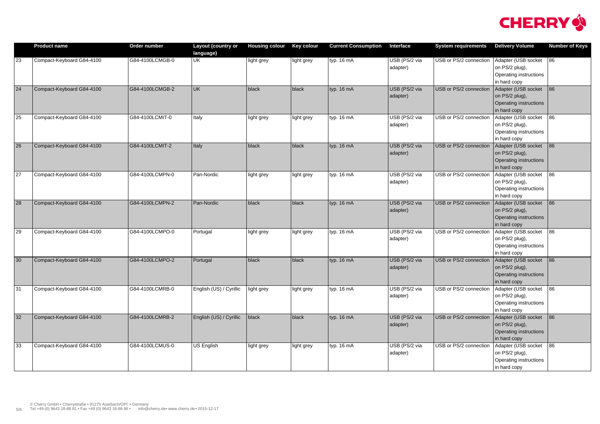|                 | <b>Product name</b>       | Order number    | <b>Layout (country or</b><br>language) | <b>Housing colour</b> | <b>Key colour</b> | <b>Current Consumption</b> | Interface                 | <b>System requirements</b> | <b>Delivery Volume</b>                                                               | <b>Number of Keys</b> |
|-----------------|---------------------------|-----------------|----------------------------------------|-----------------------|-------------------|----------------------------|---------------------------|----------------------------|--------------------------------------------------------------------------------------|-----------------------|
| 23              | Compact-Keyboard G84-4100 | G84-4100LCMGB-0 | UK                                     | light grey            | light grey        | typ. 16 mA                 | USB (PS/2 via<br>adapter) | USB or PS/2 connection     | Adapter (USB socket   86<br>on PS/2 plug),<br>Operating instructions<br>in hard copy |                       |
| 24              | Compact-Keyboard G84-4100 | G84-4100LCMGB-2 | UK                                     | black                 | black             | typ. 16 mA                 | USB (PS/2 via<br>adapter) | USB or PS/2 connection     | Adapter (USB socket<br>on PS/2 plug),<br>Operating instructions<br>in hard copy      | 86                    |
| 25              | Compact-Keyboard G84-4100 | G84-4100LCMIT-0 | Italy                                  | light grey            | light grey        | typ. 16 mA                 | USB (PS/2 via<br>adapter) | USB or PS/2 connection     | Adapter (USB socket<br>on PS/2 plug),<br>Operating instructions<br>in hard copy      | 86                    |
| 26              | Compact-Keyboard G84-4100 | G84-4100LCMIT-2 | <b>Italy</b>                           | black                 | black             | typ. 16 mA                 | USB (PS/2 via<br>adapter) | USB or PS/2 connection     | Adapter (USB socket<br>on PS/2 plug),<br>Operating instructions<br>in hard copy      | 86                    |
| $\overline{27}$ | Compact-Keyboard G84-4100 | G84-4100LCMPN-0 | Pan-Nordic                             | light grey            | light grey        | typ. 16 mA                 | USB (PS/2 via<br>adapter) | USB or PS/2 connection     | Adapter (USB socket<br>on PS/2 plug),<br>Operating instructions<br>in hard copy      | 86                    |
| 28              | Compact-Keyboard G84-4100 | G84-4100LCMPN-2 | Pan-Nordic                             | black                 | black             | typ. 16 mA                 | USB (PS/2 via<br>adapter) | USB or PS/2 connection     | Adapter (USB socket<br>on PS/2 plug),<br>Operating instructions<br>in hard copy      | 86                    |
| 29              | Compact-Keyboard G84-4100 | G84-4100LCMPO-0 | Portugal                               | light grey            | light grey        | typ. 16 mA                 | USB (PS/2 via<br>adapter) | USB or PS/2 connection     | Adapter (USB socket<br>on PS/2 plug),<br>Operating instructions<br>in hard copy      | 86                    |
| 30              | Compact-Keyboard G84-4100 | G84-4100LCMPO-2 | Portugal                               | black                 | black             | typ. 16 mA                 | USB (PS/2 via<br>adapter) | USB or PS/2 connection     | Adapter (USB socket<br>on PS/2 plug),<br>Operating instructions<br>in hard copy      | 86                    |
| 31              | Compact-Keyboard G84-4100 | G84-4100LCMRB-0 | English (US) / Cyrillic                | light grey            | light grey        | typ. 16 mA                 | USB (PS/2 via<br>adapter) | USB or PS/2 connection     | Adapter (USB socket 86<br>on PS/2 plug),<br>Operating instructions<br>in hard copy   |                       |
| 32              | Compact-Keyboard G84-4100 | G84-4100LCMRB-2 | English (US) / Cyrillic                | black                 | $ $ black         | typ. 16 mA                 | USB (PS/2 via<br>adapter) | USB or PS/2 connection     | Adapter (USB socket   86<br>on PS/2 plug),<br>Operating instructions<br>in hard copy |                       |
| 33              | Compact-Keyboard G84-4100 | G84-4100LCMUS-0 | <b>US English</b>                      | light grey            | light grey        | typ. 16 mA                 | USB (PS/2 via<br>adapter) | USB or PS/2 connection     | Adapter (USB socket<br>on PS/2 plug),<br>Operating instructions<br>in hard copy      | 86                    |